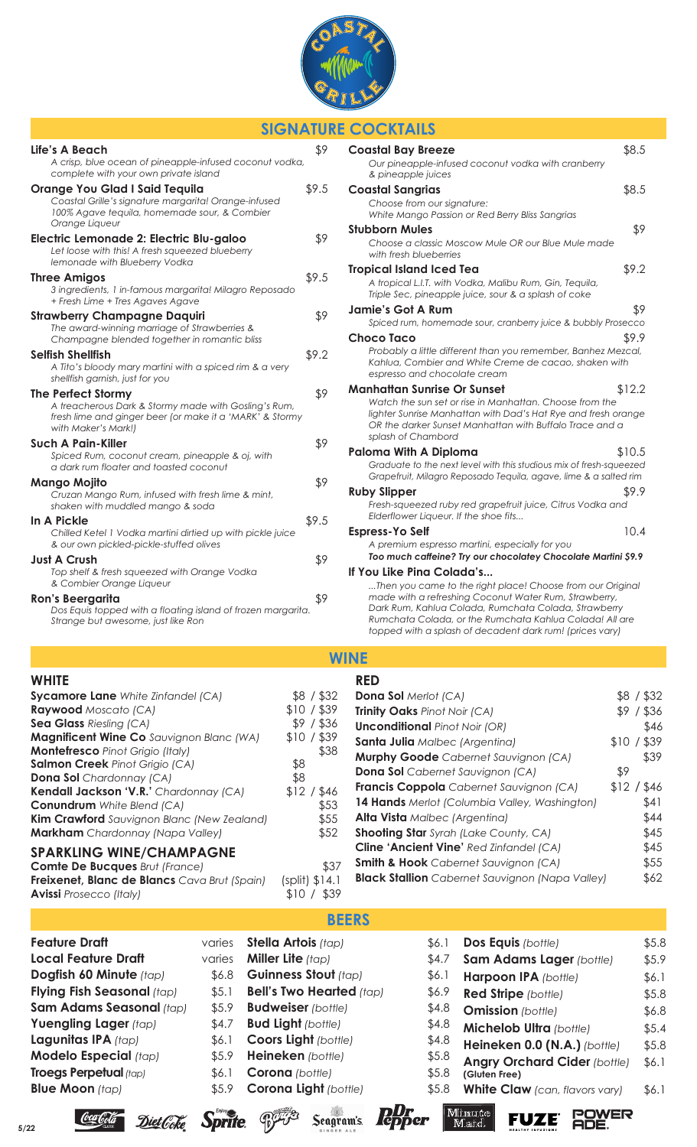

## **SIGNATURE COCKTAILS**

| Life's A Beach<br>A crisp, blue ocean of pineapple-infused coconut vodka,<br>complete with your own private island                                                   | \$9   |
|----------------------------------------------------------------------------------------------------------------------------------------------------------------------|-------|
| <b>Orange You Glad I Said Tequila</b><br>Coastal Grille's signature margarita! Orange-infused<br>100% Agave tequila, homemade sour, & Combier<br>Orange Liqueur      | \$9.5 |
| Electric Lemonade 2: Electric Blu-galoo<br>Let loose with this! A fresh squeezed blueberry<br>lemonade with Blueberry Vodka                                          | \$9   |
| <b>Three Amigos</b><br>3 ingredients, 1 in-famous margarita! Milagro Reposado<br>+ Fresh Lime + Tres Agaves Agave                                                    | \$9.5 |
| <b>Strawberry Champagne Daquiri</b><br>The award-winning marriage of Strawberries &<br>Champagne blended together in romantic bliss                                  | \$9   |
| <b>Selfish Shellfish</b><br>A Tito's bloody mary martini with a spiced rim & a very<br>shellfish garnish, just for you                                               | \$9.2 |
| <b>The Perfect Stormy</b><br>A treacherous Dark & Stormy made with Gosling's Rum,<br>fresh lime and ginger beer (or make it a 'MARK' & Stormy<br>with Maker's Mark!) | \$9   |
| <b>Such A Pain-Killer</b><br>Spiced Rum, coconut cream, pineapple & oj, with<br>a dark rum floater and toasted coconut                                               | \$9   |
| Mango Mojito<br>Cruzan Mango Rum, infused with fresh lime & mint,<br>shaken with muddled mango & soda                                                                | \$9   |
| In A Pickle<br>Chilled Ketel 1 Vodka martini dirtied up with pickle juice<br>& our own pickled-pickle-stuffed olives                                                 | \$9.5 |
| <b>Just A Crush</b><br>Top shelf & fresh squeezed with Orange Vodka<br>& Combier Orange Liqueur                                                                      | \$9   |
| <b>Ron's Beergarita</b><br>Dos Equis topped with a floating island of frozen margarita.<br>Strange but awesome, just like Ron                                        | \$9   |

| <b>Coastal Bay Breeze</b>                                                                                                                                                                                                                                                                                                       | \$8.5  |
|---------------------------------------------------------------------------------------------------------------------------------------------------------------------------------------------------------------------------------------------------------------------------------------------------------------------------------|--------|
| Our pineapple-infused coconut vodka with cranberry<br>& pineapple juices                                                                                                                                                                                                                                                        |        |
| <b>Coastal Sangrias</b>                                                                                                                                                                                                                                                                                                         | \$8.5  |
| Choose from our signature:<br>White Mango Passion or Red Berry Bliss Sangrias                                                                                                                                                                                                                                                   |        |
| <b>Stubborn Mules</b>                                                                                                                                                                                                                                                                                                           | \$9    |
| Choose a classic Moscow Mule OR our Blue Mule made<br>with fresh blueberries                                                                                                                                                                                                                                                    |        |
| <b>Tropical Island Iced Tea</b>                                                                                                                                                                                                                                                                                                 | \$9.2  |
| A tropical L.I.T. with Vodka, Malibu Rum, Gin, Tequila,<br>Triple Sec, pineapple juice, sour & a splash of coke                                                                                                                                                                                                                 |        |
| <b>Jamie's Got A Rum</b>                                                                                                                                                                                                                                                                                                        | \$9    |
| Spiced rum, homemade sour, cranberry juice & bubbly Prosecco                                                                                                                                                                                                                                                                    |        |
| <b>Choco Taco</b>                                                                                                                                                                                                                                                                                                               | \$9.9  |
| Probably a little different than you remember, Banhez Mezcal,<br>Kahlua, Combier and White Creme de cacao, shaken with<br>espresso and chocolate cream                                                                                                                                                                          |        |
| <b>Manhattan Sunrise Or Sunset</b>                                                                                                                                                                                                                                                                                              | \$12.2 |
| Watch the sun set or rise in Manhattan. Choose from the<br>lighter Sunrise Manhattan with Dad's Hat Rye and fresh orange<br>OR the darker Sunset Manhattan with Buffalo Trace and a<br>splash of Chambord                                                                                                                       |        |
| <b>Paloma With A Diploma</b>                                                                                                                                                                                                                                                                                                    | \$10.5 |
| Graduate to the next level with this studious mix of fresh-squeezed<br>Grapefruit, Milagro Reposado Tequila, agave, lime & a salted rim                                                                                                                                                                                         |        |
| <b>Ruby Slipper</b>                                                                                                                                                                                                                                                                                                             | \$9.9  |
| Fresh-squeezed ruby red grapefruit juice, Citrus Vodka and<br>Elderflower Liqueur. If the shoe fits                                                                                                                                                                                                                             |        |
| <b>Espress-Yo Self</b>                                                                                                                                                                                                                                                                                                          | 10.4   |
| A premium espresso martini, especially for you                                                                                                                                                                                                                                                                                  |        |
| Too much caffeine? Try our chocolatey Chocolate Martini \$9.9                                                                                                                                                                                                                                                                   |        |
| If You Like Pina Colada's<br>Then you came to the right place! Choose from our Original<br>made with a refreshing Coconut Water Rum, Strawberry,<br>Dark Rum, Kahlua Colada, Rumchata Colada, Strawberry<br>Rumchata Colada, or the Rumchata Kahlua Colada! All are<br>topped with a splash of decadent dark rum! (prices vary) |        |

## **WINE**

|                          | <b>RED</b>                                                                    |                                       |
|--------------------------|-------------------------------------------------------------------------------|---------------------------------------|
| \$8 / \$32               | <b>Dona Sol</b> Merlot (CA)                                                   | \$8 / \$32                            |
| $$10/$ \$39              | <b>Trinity Oaks Pinot Noir (CA)</b>                                           | / \$36<br>\$9                         |
| \$9                      | <b>Unconditional Pinot Noir (OR)</b>                                          | \$46                                  |
| \$10                     |                                                                               | 1 \$39<br>\$10/                       |
|                          | <b>Murphy Goode</b> Cabernet Sauvignon (CA)                                   | \$39                                  |
|                          | <b>Dona Sol</b> Cabernet Sauvignon (CA)                                       | \$9                                   |
|                          | Francis Coppola Cabernet Sauvignon (CA)                                       | \$12/<br>546 '                        |
|                          | <b>14 Hands</b> Merlot (Columbia Valley, Washington)                          | \$41                                  |
| \$55                     | <b>Alta Vista</b> Malbec (Argentina)                                          | \$44                                  |
| \$52                     | <b>Shooting Star</b> Syrah (Lake County, CA)                                  | \$45                                  |
|                          | <b>Cline 'Ancient Vine' Red Zinfandel (CA)</b>                                | \$45                                  |
|                          | <b>Smith &amp; Hook</b> Cabernet Sauvignon (CA)                               | \$55                                  |
| $(split)$ \$14.1<br>\$39 | <b>Black Stallion</b> Cabernet Sauvignon (Napa Valley)                        | \$62                                  |
|                          | $/$ \$36<br>$/$ \$39<br>\$38<br>\$8<br>\$8<br>\$12/<br>1 \$46<br>\$53<br>\$37 | <b>Santa Julia</b> Malbec (Argentina) |

# **Feature Draft**

| <b>Local Feature Draft</b>    | varies |
|-------------------------------|--------|
| Dogfish 60 Minute (tap)       | \$6.8  |
| Flying Fish Seasonal (tap)    | \$5.1  |
| Sam Adams Seasonal (tap)      | \$5.9  |
| Yuengling Lager (tap)         | \$4.7  |
| Lagunitas IPA (tap)           | \$6.1  |
| Modelo Especial (tap)         | \$5.9  |
| <b>Troegs Perpetual (tap)</b> | \$6.1  |
| <b>Blue Moon</b> (tap)        | \$5.9  |

Coca Cola



| 56.1 | Dos Equis (bottle)                    | \$5.8 |
|------|---------------------------------------|-------|
| 54.7 | Sam Adams Lager (bottle)              | \$5.9 |
| 56.1 | Harpoon IPA (bottle)                  | \$6.1 |
| 56.9 | <b>Red Stripe</b> (bottle)            | \$5.8 |
| 54.8 | <b>Omission</b> (bottle)              | \$6.8 |
| 54.8 | <b>Michelob Ultra (bottle)</b>        | \$5.4 |
| 54.8 | Heineken 0.0 (N.A.) (bottle)          | \$5.8 |
| 5.8  | <b>Angry Orchard Cider (bottle)</b>   | \$6.1 |
| 5.8  | (Gluten Free)                         |       |
| 5.8  | <b>White Claw</b> (can, flavors vary) | \$6.1 |

**FUZE** POWER

Minute<br>Maid

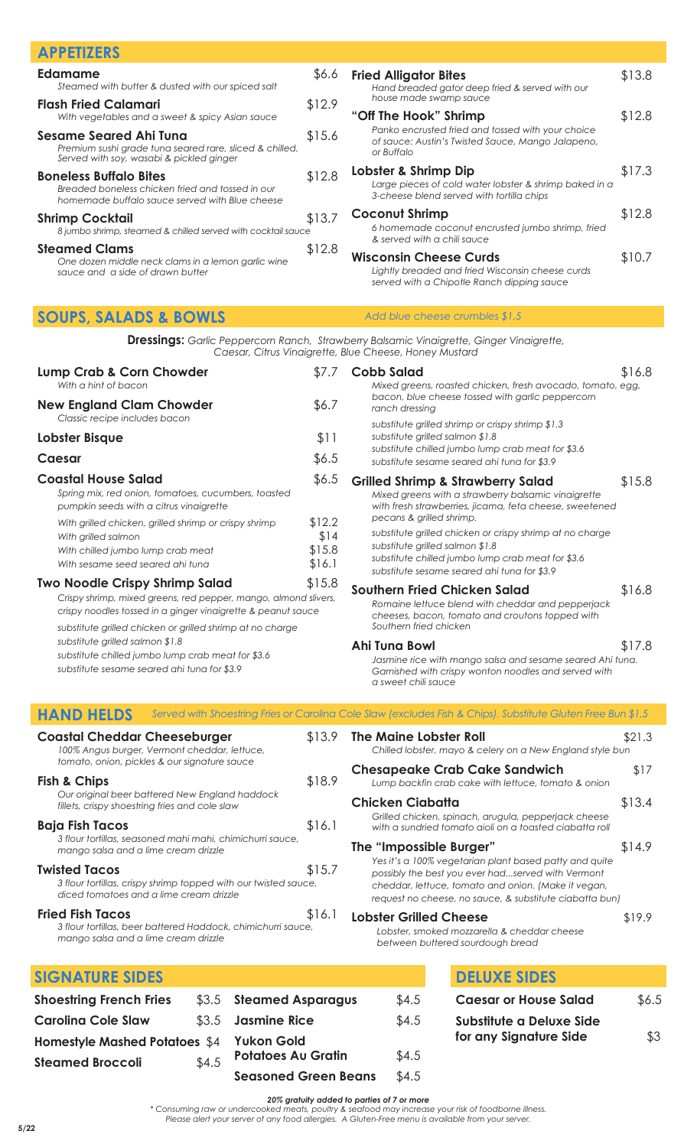| <b>APPETIZERS</b>                                                                                                                    |        |                                                                                                                                 |        |
|--------------------------------------------------------------------------------------------------------------------------------------|--------|---------------------------------------------------------------------------------------------------------------------------------|--------|
| Edamame<br>Steamed with butter & dusted with our spiced salt                                                                         | \$6.6  | <b>Fried Alligator Bites</b><br>Hand breaded gator deep fried & served with our                                                 | \$13.8 |
| <b>Flash Fried Calamari</b><br>With vegetables and a sweet & spicy Asian sauce                                                       | \$12.9 | house made swamp sauce<br>"Off The Hook" Shrimp                                                                                 | \$12.8 |
| <b>Sesame Seared Ahi Tuna</b><br>Premium sushi grade tuna seared rare, sliced & chilled.<br>Served with soy, wasabi & pickled ginger | \$15.6 | Panko encrusted fried and tossed with your choice<br>of sauce: Austin's Twisted Sauce, Mango Jalapeno,<br>or Buffalo            |        |
| <b>Boneless Buffalo Bites</b><br>Breaded boneless chicken fried and tossed in our<br>homemade buffalo sauce served with Blue cheese  | \$12.8 | Lobster & Shrimp Dip<br>Large pieces of cold water lobster & shrimp baked in a<br>3-cheese blend served with tortilla chips     | \$17.3 |
| <b>Shrimp Cocktail</b><br>8 jumbo shrimp, steamed & chilled served with cocktail sauce                                               | \$13.7 | <b>Coconut Shrimp</b><br>6 homemade coconut encrusted jumbo shrimp, fried<br>& served with a chili sauce                        | \$12.8 |
| <b>Steamed Clams</b><br>One dozen middle neck clams in a lemon garlic wine<br>sauce and a side of drawn butter                       | \$12.8 | <b>Wisconsin Cheese Curds</b><br>Lightly breaded and fried Wisconsin cheese curds<br>served with a Chipotle Ranch dipping sauce | \$10.7 |

## **SOUPS, SALADS & BOWLS**

**Dressings:** *Garlic Peppercorn Ranch, Strawberry Balsamic Vinaigrette, Ginger Vinaigrette, Caesar, Citrus Vinaigrette, Blue Cheese, Honey Mustard*

*Add blue cheese crumbles \$1.5*

| <b>Lump Crab &amp; Corn Chowder</b><br>With a hint of bacon                                                                                                                                                                                                                                                                                                                                                                                                                                                                                                                                                                                                           | \$7.7                                                 | <b>Cobb Salad</b><br>Mixed greens, roasted chicken, fresh avocado, tomato, egg,                                                                                                                                                                                                                                                                                                                                                                                                                                                                                                                                                                                                                                                            | \$16.8                     |
|-----------------------------------------------------------------------------------------------------------------------------------------------------------------------------------------------------------------------------------------------------------------------------------------------------------------------------------------------------------------------------------------------------------------------------------------------------------------------------------------------------------------------------------------------------------------------------------------------------------------------------------------------------------------------|-------------------------------------------------------|--------------------------------------------------------------------------------------------------------------------------------------------------------------------------------------------------------------------------------------------------------------------------------------------------------------------------------------------------------------------------------------------------------------------------------------------------------------------------------------------------------------------------------------------------------------------------------------------------------------------------------------------------------------------------------------------------------------------------------------------|----------------------------|
| <b>New England Clam Chowder</b><br>Classic recipe includes bacon                                                                                                                                                                                                                                                                                                                                                                                                                                                                                                                                                                                                      | \$6.7                                                 | bacon, blue cheese tossed with garlic peppercorn<br>ranch dressing                                                                                                                                                                                                                                                                                                                                                                                                                                                                                                                                                                                                                                                                         |                            |
| Lobster Bisque                                                                                                                                                                                                                                                                                                                                                                                                                                                                                                                                                                                                                                                        | \$11                                                  | substitute grilled shrimp or crispy shrimp \$1.3<br>substitute grilled salmon \$1.8                                                                                                                                                                                                                                                                                                                                                                                                                                                                                                                                                                                                                                                        |                            |
| <b>Caesar</b>                                                                                                                                                                                                                                                                                                                                                                                                                                                                                                                                                                                                                                                         | \$6.5                                                 | substitute chilled jumbo lump crab meat for \$3.6<br>substitute sesame seared ahi tuna for \$3.9                                                                                                                                                                                                                                                                                                                                                                                                                                                                                                                                                                                                                                           |                            |
| <b>Coastal House Salad</b><br>Spring mix, red onion, tomatoes, cucumbers, toasted<br>pumpkin seeds with a citrus vinaigrette<br>With grilled chicken, grilled shrimp or crispy shrimp<br>With grilled salmon<br>With chilled jumbo lump crab meat<br>With sesame seed seared ahi tuna<br><b>Two Noodle Crispy Shrimp Salad</b><br>Crispy shrimp, mixed greens, red pepper, mango, almond slivers,<br>crispy noodles tossed in a ginger vinaigrette & peanut sauce<br>substitute grilled chicken or grilled shrimp at no charge<br>substitute grilled salmon \$1.8<br>substitute chilled jumbo lump crab meat for \$3.6<br>substitute sesame seared ahi tuna for \$3.9 | \$6.5<br>\$12.2<br>\$14<br>\$15.8<br>\$16.1<br>\$15.8 | <b>Grilled Shrimp &amp; Strawberry Salad</b><br>Mixed greens with a strawberry balsamic vinaigrette<br>with fresh strawberries, jicama, feta cheese, sweetened<br>pecans & grilled shrimp.<br>substitute grilled chicken or crispy shrimp at no charge<br>substitute grilled salmon \$1.8<br>substitute chilled jumbo lump crab meat for \$3.6<br>substitute sesame seared ahi tuna for \$3.9<br><b>Southern Fried Chicken Salad</b><br>Romaine lettuce blend with cheddar and pepperjack<br>cheeses, bacon, tomato and croutons topped with<br>Southern fried chicken<br><b>Ahi Tuna Bowl</b><br>Jasmine rice with mango salsa and sesame seared Ahi tuna.<br>Garnished with crispy wonton noodles and served with<br>a sweet chili sauce | \$15.8<br>\$16.8<br>\$17.8 |
| <b>HAND HELDS</b>                                                                                                                                                                                                                                                                                                                                                                                                                                                                                                                                                                                                                                                     |                                                       | Served with Shoestring Fries or Carolina Cole Slaw (excludes Fish & Chips). Substitute Gluten Free Bun \$1.5                                                                                                                                                                                                                                                                                                                                                                                                                                                                                                                                                                                                                               |                            |
| <b>Coastal Cheddar Cheeseburger</b><br>100% Angus burger, Vermont cheddar, lettuce,<br>tomato, onion, pickles & our signature sauce                                                                                                                                                                                                                                                                                                                                                                                                                                                                                                                                   | \$13.9                                                | <b>The Maine Lobster Roll</b><br>Chilled lobster, mayo & celery on a New England style bun                                                                                                                                                                                                                                                                                                                                                                                                                                                                                                                                                                                                                                                 | \$21.3                     |
| Fish & Chips                                                                                                                                                                                                                                                                                                                                                                                                                                                                                                                                                                                                                                                          | \$18.9                                                | <b>Chesapeake Crab Cake Sandwich</b><br>Lump backfin crab cake with lettuce, tomato & onion                                                                                                                                                                                                                                                                                                                                                                                                                                                                                                                                                                                                                                                | \$17                       |
| Our original beer battered New England haddock<br>fillets, crispy shoestring fries and cole slaw                                                                                                                                                                                                                                                                                                                                                                                                                                                                                                                                                                      |                                                       | <b>Chicken Ciabatta</b><br>Grilled chicken, spinach, arugula, pepperjack cheese                                                                                                                                                                                                                                                                                                                                                                                                                                                                                                                                                                                                                                                            | \$13.4                     |
| <b>Baja Fish Tacos</b><br>3 flour tortillas, seasoned mahi mahi, chimichurri sauce,<br>mango salsa and a lime cream drizzle                                                                                                                                                                                                                                                                                                                                                                                                                                                                                                                                           | \$16.1                                                | with a sundried tomato aioli on a toasted ciabatta roll<br>The "Impossible Burger"                                                                                                                                                                                                                                                                                                                                                                                                                                                                                                                                                                                                                                                         | \$14.9                     |
| <b>Twisted Tacos</b><br>3 flour tortillas, crispy shrimp topped with our twisted sauce,<br>diced tomatoes and a lime cream drizzle                                                                                                                                                                                                                                                                                                                                                                                                                                                                                                                                    | \$15.7                                                | Yes it's a 100% vegetarian plant based patty and quite<br>possibly the best you ever hadserved with Vermont<br>cheddar, lettuce, tomato and onion. (Make it vegan,<br>request no cheese, no sauce, & substitute ciabatta bun)                                                                                                                                                                                                                                                                                                                                                                                                                                                                                                              |                            |
| <b>Fried Fish Tacos</b><br>3 flour tortillas, beer battered Haddock, chimichurri sauce,<br>mango salsa and a lime cream drizzle                                                                                                                                                                                                                                                                                                                                                                                                                                                                                                                                       | \$16.1                                                | <b>Lobster Grilled Cheese</b><br>Lobster, smoked mozzarella & cheddar cheese<br>between buttered sourdough bread                                                                                                                                                                                                                                                                                                                                                                                                                                                                                                                                                                                                                           | \$19.9                     |
| <b>SIGNATURE SIDES</b>                                                                                                                                                                                                                                                                                                                                                                                                                                                                                                                                                                                                                                                |                                                       | <b>DELUXE SIDES</b>                                                                                                                                                                                                                                                                                                                                                                                                                                                                                                                                                                                                                                                                                                                        |                            |
| <b>Shoestring French Fries</b><br><b>Steamed Asparagus</b><br>\$3.5                                                                                                                                                                                                                                                                                                                                                                                                                                                                                                                                                                                                   |                                                       | \$4.5<br><b>Caesar or House Salad</b>                                                                                                                                                                                                                                                                                                                                                                                                                                                                                                                                                                                                                                                                                                      | \$6.5                      |
| <b>Jasmine Rice</b><br><b>Carolina Cole Slaw</b><br>\$3.5                                                                                                                                                                                                                                                                                                                                                                                                                                                                                                                                                                                                             |                                                       | \$4.5<br>Substitute a Deluxe Side                                                                                                                                                                                                                                                                                                                                                                                                                                                                                                                                                                                                                                                                                                          |                            |

|                             | \$4.5                                   |
|-----------------------------|-----------------------------------------|
| <b>Seasoned Green Beans</b> | \$4.5                                   |
|                             | $\mathfrak{g}_{4.5}$ Potatoes Au Grafin |

**Yukon Gold**

#### *20% gratuity added to parties of 7 or more*

**Potatoes Au Gratin** \$4.5

*\* Consuming raw or undercooked meats, poultry & seafood may increase your risk of foodborne illness. Please alert your server of any food allergies. A Gluten-Free menu is available from your server.*

**for any Signature Side** \$3

**Homestyle Mashed Potatoes** \$4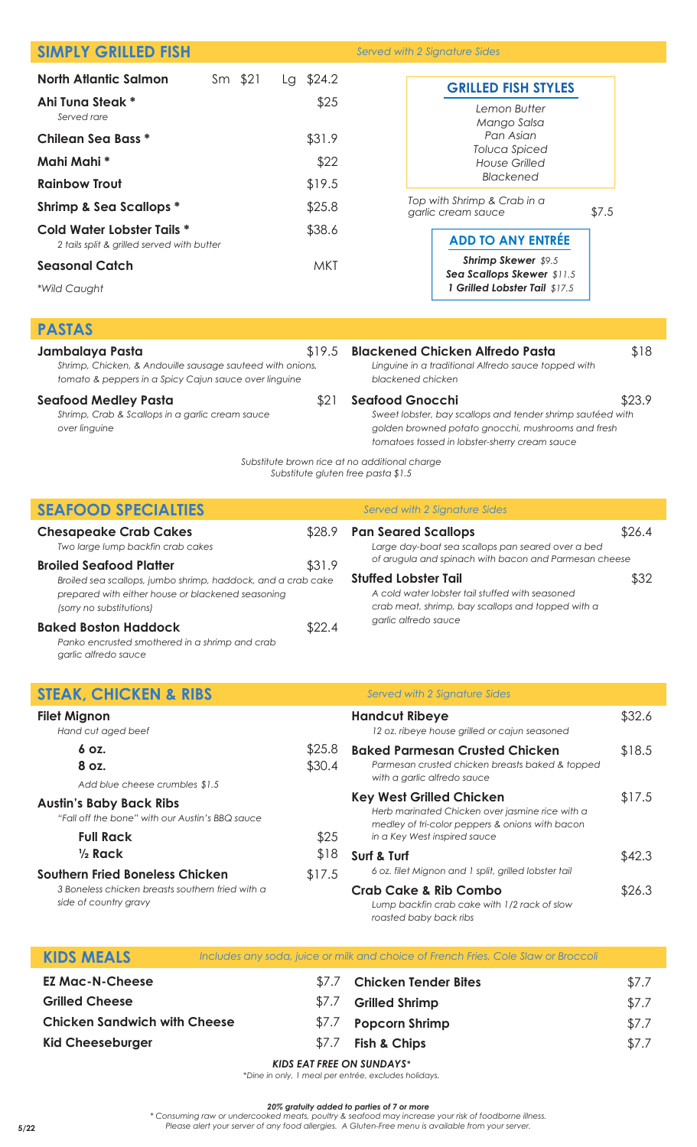| <b>SIMPLY GRILLED FISH</b>                                                                                         |         |                                    | Served with 2 Signature Sides                                                                       |                |
|--------------------------------------------------------------------------------------------------------------------|---------|------------------------------------|-----------------------------------------------------------------------------------------------------|----------------|
| <b>North Atlantic Salmon</b>                                                                                       | Sm \$21 | Lg \$24.2                          |                                                                                                     |                |
| Ahi Tuna Steak *                                                                                                   |         | \$25                               | <b>GRILLED FISH STYLES</b>                                                                          |                |
| Served rare                                                                                                        |         |                                    | Lemon Butter<br>Mango Salsa                                                                         |                |
| <b>Chilean Sea Bass *</b>                                                                                          |         | \$31.9                             | Pan Asian                                                                                           |                |
| Mahi Mahi *                                                                                                        |         | \$22                               | <b>Toluca Spiced</b><br><b>House Grilled</b>                                                        |                |
| <b>Rainbow Trout</b>                                                                                               |         | \$19.5                             | <b>Blackened</b>                                                                                    |                |
| <b>Shrimp &amp; Sea Scallops *</b>                                                                                 |         | \$25.8                             | Top with Shrimp & Crab in a<br>\$7.5                                                                |                |
| Cold Water Lobster Tails *                                                                                         |         | \$38.6                             | garlic cream sauce                                                                                  |                |
| 2 tails split & grilled served with butter                                                                         |         |                                    | <b>ADD TO ANY ENTRÉE</b>                                                                            |                |
| <b>Seasonal Catch</b>                                                                                              |         | <b>MKT</b>                         | Shrimp Skewer \$9.5<br>Sea Scallops Skewer \$11.5                                                   |                |
| *Wild Caught                                                                                                       |         |                                    | 1 Grilled Lobster Tail \$17.5                                                                       |                |
|                                                                                                                    |         |                                    |                                                                                                     |                |
| <b>PASTAS</b>                                                                                                      |         |                                    |                                                                                                     |                |
| Jambalaya Pasta                                                                                                    |         | \$19.5                             | <b>Blackened Chicken Alfredo Pasta</b>                                                              | \$18           |
| Shrimp, Chicken, & Andouille sausage sauteed with onions,<br>tomato & peppers in a Spicy Cajun sauce over linguine |         |                                    | Linguine in a traditional Alfredo sauce topped with<br>blackened chicken                            |                |
| <b>Seafood Medley Pasta</b>                                                                                        |         | \$21                               | <b>Seafood Gnocchi</b>                                                                              | \$23.9         |
| Shrimp, Crab & Scallops in a garlic cream sauce                                                                    |         |                                    | Sweet lobster, bay scallops and tender shrimp sautéed with                                          |                |
| over linguine                                                                                                      |         |                                    | golden browned potato gnocchi, mushrooms and fresh<br>tomatoes tossed in lobster-sherry cream sauce |                |
|                                                                                                                    |         |                                    | Substitute brown rice at no additional charge                                                       |                |
|                                                                                                                    |         | Substitute gluten free pasta \$1.5 |                                                                                                     |                |
| <b>SEAFOOD SPECIALTIES</b>                                                                                         |         |                                    | Served with 2 Signature Sides                                                                       |                |
| <b>Chesapeake Crab Cakes</b>                                                                                       |         | \$28.9                             | <b>Pan Seared Scallops</b>                                                                          | \$26.4         |
| Two large lump backfin crab cakes                                                                                  |         |                                    | Large day-boat sea scallops pan seared over a bed                                                   |                |
| <b>Broiled Seafood Platter</b>                                                                                     |         | \$31.9                             | of arugula and spinach with bacon and Parmesan cheese                                               |                |
| Broiled sea scallops, jumbo shrimp, haddock, and a crab cake<br>prepared with either house or blackened seasoning  |         |                                    | <b>Stuffed Lobster Tail</b><br>A cold water lobster tail stuffed with seasoned                      | \$32           |
| (sorry no substitutions)                                                                                           |         |                                    | crab meat, shrimp, bay scallops and topped with a                                                   |                |
| <b>Baked Boston Haddock</b>                                                                                        |         | \$22.4                             | garlic alfredo sauce                                                                                |                |
| Panko encrusted smothered in a shrimp and crab<br>garlic alfredo sauce                                             |         |                                    |                                                                                                     |                |
|                                                                                                                    |         |                                    |                                                                                                     |                |
| <b>STEAK, CHICKEN &amp; RIBS</b>                                                                                   |         |                                    | Served with 2 Signature Sides                                                                       |                |
| <b>Filet Mignon</b>                                                                                                |         |                                    | <b>Handcut Ribeye</b>                                                                               | \$32.6         |
| Hand cut aged beef                                                                                                 |         | \$25.8                             | 12 oz. ribeye house grilled or cajun seasoned                                                       |                |
| 6 oz.<br>8 oz.                                                                                                     |         | \$30.4                             | <b>Baked Parmesan Crusted Chicken</b><br>Parmesan crusted chicken breasts baked & topped            | \$18.5         |
| Add blue cheese crumbles \$1.5                                                                                     |         |                                    | with a garlic alfredo sauce                                                                         |                |
| <b>Austin's Baby Back Ribs</b>                                                                                     |         |                                    | <b>Key West Grilled Chicken</b><br>Herb marinated Chicken over jasmine rice with a                  | \$17.5         |
| "Fall off the bone" with our Austin's BBQ sauce                                                                    |         |                                    | medley of tri-color peppers & onions with bacon                                                     |                |
| <b>Full Rack</b><br>$\frac{1}{2}$ Rack                                                                             |         | \$25<br>\$18                       | in a Key West inspired sauce                                                                        |                |
| <b>Southern Fried Boneless Chicken</b>                                                                             |         | \$17.5                             | Surf & Turf<br>6 oz. filet Mignon and 1 split, grilled lobster tail                                 | \$42.3         |
| 3 Boneless chicken breasts southern fried with a                                                                   |         |                                    | <b>Crab Cake &amp; Rib Combo</b>                                                                    | \$26.3         |
| side of country gravy                                                                                              |         |                                    | Lump backfin crab cake with 1/2 rack of slow                                                        |                |
|                                                                                                                    |         |                                    | roasted baby back ribs                                                                              |                |
| <b>KIDS MEALS</b>                                                                                                  |         |                                    | Includes any soda, juice or milk and choice of French Fries, Cole Slaw or Broccoli                  |                |
| <b>EZ Mac-N-Cheese</b>                                                                                             |         | \$7.7                              | <b>Chicken Tender Bites</b>                                                                         |                |
| <b>Grilled Cheese</b>                                                                                              |         | \$7.7                              | <b>Grilled Shrimp</b>                                                                               | \$7.7<br>\$7.7 |
| <b>Chicken Sandwich with Cheese</b>                                                                                |         | \$7.7                              | <b>Popcorn Shrimp</b>                                                                               | \$7.7          |
| <b>Kid Cheeseburger</b>                                                                                            |         | \$7.7                              | <b>Fish &amp; Chips</b>                                                                             | \$7.7          |
|                                                                                                                    |         |                                    |                                                                                                     |                |

### *KIDS EAT FREE ON SUNDAYS\**

*\*Dine in only, 1 meal per entrée, excludes holidays.*

#### *20% gratuity added to parties of 7 or more*

*\* Consuming raw or undercooked meats, poultry & seafood may increase your risk of foodborne illness. Please alert your server of any food allergies. A Gluten-Free menu is available from your server.* **5/22**